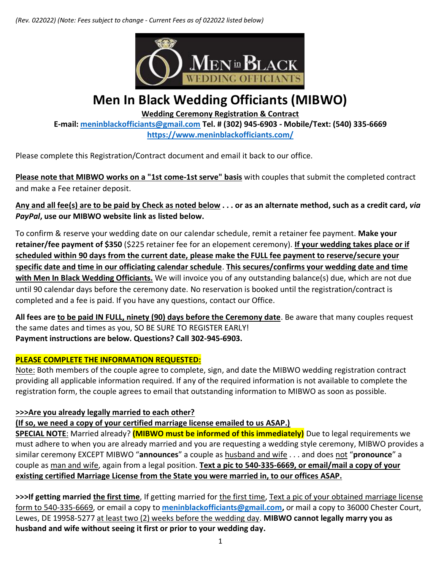*(Rev. 022022) (Note: Fees subject to change - Current Fees as of 022022 listed below)*



# **Men In Black Wedding Officiants (MIBWO)**

**Wedding Ceremony Registration & Contract** 

**E-mail: [meninblackofficiants@gmail.com](mailto:meninblackofficiants@gmail.com) Tel. # (302) 945-6903 - Mobile/Text: (540) 335-6669 <https://www.meninblackofficiants.com/>**

Please complete this Registration/Contract document and email it back to our office.

**Please note that MIBWO works on a "1st come-1st serve" basis** with couples that submit the completed contract and make a Fee retainer deposit.

**Any and all fee(s) are to be paid by Check as noted below . . . or as an alternate method, such as a credit card,** *via PayPal***, use our MIBWO website link as listed below.**

To confirm & reserve your wedding date on our calendar schedule, remit a retainer fee payment. **Make your retainer/fee payment of \$350** (\$225 retainer fee for an elopement ceremony). **If your wedding takes place or if scheduled within 90 days from the current date, please make the FULL fee payment to reserve/secure your specific date and time in our officiating calendar schedule**. **This secures/confirms your wedding date and time with Men In Black Wedding Officiants.** We will invoice you of any outstanding balance(s) due, which are not due until 90 calendar days before the ceremony date. No reservation is booked until the registration/contract is completed and a fee is paid. If you have any questions, contact our Office.

**All fees are to be paid IN FULL, ninety (90) days before the Ceremony date**. Be aware that many couples request the same dates and times as you, SO BE SURE TO REGISTER EARLY! **Payment instructions are below. Questions? Call 302-945-6903.**

# **PLEASE COMPLETE THE INFORMATION REQUESTED:**

Note: Both members of the couple agree to complete, sign, and date the MIBWO wedding registration contract providing all applicable information required. If any of the required information is not available to complete the registration form, the couple agrees to email that outstanding information to MIBWO as soon as possible.

# **>>>Are you already legally married to each other?**

**(If so, we need a copy of your certified marriage license emailed to us ASAP.)**

**SPECIAL NOTE**: Married already? **(MIBWO must be informed of this immediately)** Due to legal requirements we must adhere to when you are already married and you are requesting a wedding style ceremony, MIBWO provides a similar ceremony EXCEPT MIBWO "**announces**" a couple as husband and wife . . . and does not "**pronounce**" a couple as man and wife, again from a legal position. **Text a pic to 540-335-6669, or email/mail a copy of your existing certified Marriage License from the State you were married in, to our offices ASAP.**

**>>>If getting married the first time**, If getting married for the first time, Text a pic of your obtained marriage license form to 540-335-6669, or email a copy to **[meninblackofficiants@gmail.com,](mailto:meninblackofficiants@gmail.com)** or mail a copy to 36000 Chester Court, Lewes, DE 19958-5277 at least two (2) weeks before the wedding day. **MIBWO cannot legally marry you as husband and wife without seeing it first or prior to your wedding day.**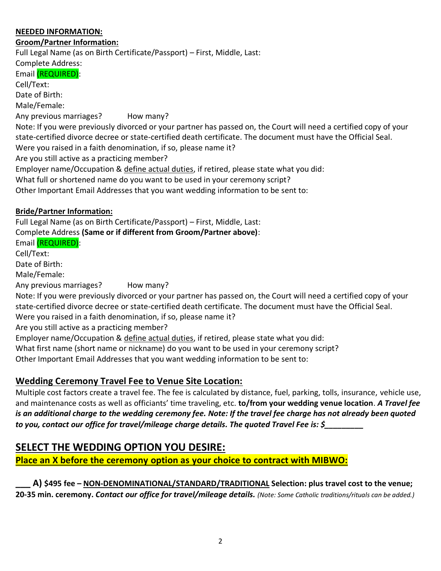#### **NEEDED INFORMATION:**

#### **Groom/Partner Information:**

Full Legal Name (as on Birth Certificate/Passport) – First, Middle, Last:

Complete Address: Email (REQUIRED): Cell/Text: Date of Birth: Male/Female: Any previous marriages? How many? Note: If you were previously divorced or your partner has passed on, the Court will need a certified copy of your state-certified divorce decree or state-certified death certificate. The document must have the Official Seal. Were you raised in a faith denomination, if so, please name it? Are you still active as a practicing member? Employer name/Occupation & define actual duties, if retired, please state what you did: What full or shortened name do you want to be used in your ceremony script? Other Important Email Addresses that you want wedding information to be sent to:

#### **Bride/Partner Information:**

Full Legal Name (as on Birth Certificate/Passport) – First, Middle, Last: Complete Address **(Same or if different from Groom/Partner above)**: Email (REQUIRED): Cell/Text: Date of Birth: Male/Female: Any previous marriages? How many? Note: If you were previously divorced or your partner has passed on, the Court will need a certified copy of your state-certified divorce decree or state-certified death certificate. The document must have the Official Seal. Were you raised in a faith denomination, if so, please name it? Are you still active as a practicing member? Employer name/Occupation & define actual duties, if retired, please state what you did: What first name (short name or nickname) do you want to be used in your ceremony script? Other Important Email Addresses that you want wedding information to be sent to:

# **Wedding Ceremony Travel Fee to Venue Site Location:**

Multiple cost factors create a travel fee. The fee is calculated by distance, fuel, parking, tolls, insurance, vehicle use, and maintenance costs as well as officiants' time traveling, etc. **to/from your wedding venue location**. *A Travel fee is an additional charge to the wedding ceremony fee. Note: If the travel fee charge has not already been quoted to you, contact our office for travel/mileage charge details. The quoted Travel Fee is: \$\_\_\_\_\_\_\_\_\_*

# **SELECT THE WEDDING OPTION YOU DESIRE:**

**Place an X before the ceremony option as your choice to contract with MIBWO:**

**\_\_\_ A) \$495 fee – NON-DENOMINATIONAL/STANDARD/TRADITIONAL Selection: plus travel cost to the venue; 20-35 min. ceremony.** *Contact our office for travel/mileage details. (Note: Some Catholic traditions/rituals can be added.)*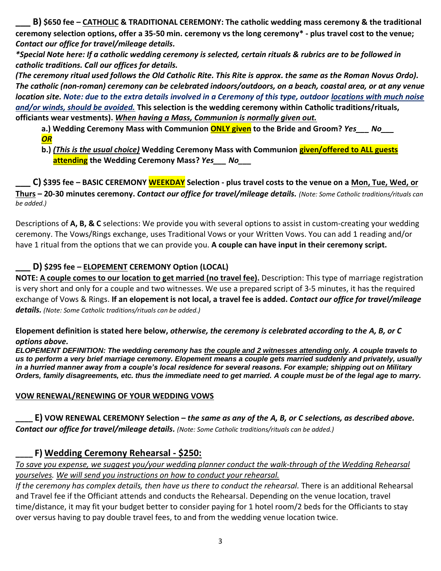**\_\_\_ B) \$650 fee – CATHOLIC & TRADITIONAL CEREMONY: The catholic wedding mass ceremony & the traditional ceremony selection options, offer a 35-50 min. ceremony vs the long ceremony\* - plus travel cost to the venue;**  *Contact our office for travel/mileage details.*

*\*Special Note here: If a catholic wedding ceremony is selected, certain rituals & rubrics are to be followed in catholic traditions. Call our offices for details.*

*(The ceremony ritual used follows the Old Catholic Rite. This Rite is approx. the same as the Roman Novus Ordo). The catholic (non-roman) ceremony can be celebrated indoors/outdoors, on a beach, coastal area, or at any venue location site. Note: due to the extra details involved in a Ceremony of this type, outdoor locations with much noise and/or winds, should be avoided.* **This selection is the wedding ceremony within Catholic traditions/rituals, officiants wear vestments).** *When having a Mass, Communion is normally given out.*

- **a.) Wedding Ceremony Mass with Communion ONLY given to the Bride and Groom?** *Yes\_\_\_ No\_\_\_ OR*
- **b.)** *(This is the usual choice)* **Wedding Ceremony Mass with Communion given/offered to ALL guests attending the Wedding Ceremony Mass?** *Yes\_\_\_ No\_\_\_*

**\_\_\_ C) \$395 fee – BASIC CEREMONY WEEKDAY Selection - plus travel costs to the venue on a Mon, Tue, Wed, or Thurs – 20-30 minutes ceremony.** *Contact our office for travel/mileage details. (Note: Some Catholic traditions/rituals can be added.)* 

Descriptions of **A, B, & C** selections: We provide you with several options to assist in custom-creating your wedding ceremony. The Vows/Rings exchange, uses Traditional Vows or your Written Vows. You can add 1 reading and/or have 1 ritual from the options that we can provide you. **A couple can have input in their ceremony script.**

# **\_\_\_ D) \$295 fee – ELOPEMENT CEREMONY Option (LOCAL)**

**NOTE: A couple comes to our location to get married (no travel fee).** Description: This type of marriage registration is very short and only for a couple and two witnesses. We use a prepared script of 3-5 minutes, it has the required exchange of Vows & Rings. **If an elopement is not local, a travel fee is added.** *Contact our office for travel/mileage details. (Note: Some Catholic traditions/rituals can be added.)* 

#### **Elopement definition is stated here below,** *otherwise, the ceremony is celebrated according to the A, B, or C options above.*

*ELOPEMENT DEFINITION: The wedding ceremony has the couple and 2 witnesses attending only. A couple travels to us to perform a very brief marriage ceremony. Elopement means a couple gets married suddenly and privately, usually in a hurried manner away from a couple's local residence for several reasons. For example; shipping out on Military Orders, family disagreements, etc. thus the immediate need to get married. A couple must be of the legal age to marry.*

#### **VOW RENEWAL/RENEWING OF YOUR WEDDING VOWS**

**\_\_\_\_ E) VOW RENEWAL CEREMONY Selection –** *the same as any of the A, B, or C selections, as described above. Contact our office for travel/mileage details. (Note: Some Catholic traditions/rituals can be added.)* 

# **\_\_\_\_ F) Wedding Ceremony Rehearsal - \$250:**

*To save you expense, we suggest you/your wedding planner conduct the walk-through of the Wedding Rehearsal yourselves. We will send you instructions on how to conduct your rehearsal.*

*If the ceremony has complex details, then have us there to conduct the rehearsal.* There is an additional Rehearsal and Travel fee if the Officiant attends and conducts the Rehearsal. Depending on the venue location, travel time/distance, it may fit your budget better to consider paying for 1 hotel room/2 beds for the Officiants to stay over versus having to pay double travel fees, to and from the wedding venue location twice.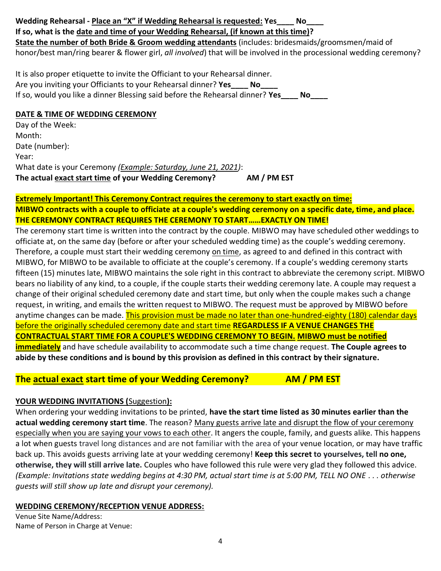## **Wedding Rehearsal - Place an "X" if Wedding Rehearsal is requested: Yes\_\_\_\_ No\_\_\_\_ If so, what is the date and time of your Wedding Rehearsal, (if known at this time)? State the number of both Bride & Groom wedding attendants** (includes: bridesmaids/groomsmen/maid of honor/best man/ring bearer & flower girl, *all involved*) that will be involved in the processional wedding ceremony?

It is also proper etiquette to invite the Officiant to your Rehearsal dinner. Are you inviting your Officiants to your Rehearsal dinner? **Yes\_\_\_\_ No\_\_\_\_**  If so, would you like a dinner Blessing said before the Rehearsal dinner? **Yes\_\_\_\_ No\_\_\_\_** 

#### **DATE & TIME OF WEDDING CEREMONY**

Day of the Week: Month: Date (number): Year: What date is your Ceremony *(Example: Saturday, June 21, 2021)*: **The actual exact start time of your Wedding Ceremony? AM / PM EST**

#### **Extremely Important! This Ceremony Contract requires the ceremony to start exactly on time: MIBWO contracts with a couple to officiate at a couple's wedding ceremony on a specific date, time, and place. THE CEREMONY CONTRACT REQUIRES THE CEREMONY TO START……EXACTLY ON TIME!**

The ceremony start time is written into the contract by the couple. MIBWO may have scheduled other weddings to officiate at, on the same day (before or after your scheduled wedding time) as the couple's wedding ceremony. Therefore, a couple must start their wedding ceremony on time, as agreed to and defined in this contract with MIBWO, for MIBWO to be available to officiate at the couple's ceremony. If a couple's wedding ceremony starts fifteen (15) minutes late, MIBWO maintains the sole right in this contract to abbreviate the ceremony script. MIBWO bears no liability of any kind, to a couple, if the couple starts their wedding ceremony late. A couple may request a change of their original scheduled ceremony date and start time, but only when the couple makes such a change request, in writing, and emails the written request to MIBWO. The request must be approved by MIBWO before anytime changes can be made. This provision must be made no later than one-hundred-eighty (180) calendar days before the originally scheduled ceremony date and start time **REGARDLESS IF A VENUE CHANGES THE CONTRACTUAL START TIME FOR A COUPLE'S WEDDING CEREMONY TO BEGIN. MIBWO must be notified immediately** and have schedule availability to accommodate such a time change request. **The Couple agrees to abide by these conditions and is bound by this provision as defined in this contract by their signature.**

# **The actual exact start time of your Wedding Ceremony? AM / PM EST**

# **YOUR WEDDING INVITATIONS (**Suggestion**):**

When ordering your wedding invitations to be printed, **have the start time listed as 30 minutes earlier than the actual wedding ceremony start time**. The reason? Many guests arrive late and disrupt the flow of your ceremony especially when you are saying your vows to each other. It angers the couple, family, and guests alike. This happens a lot when guests travel long distances and are not familiar with the area of your venue location, or may have traffic back up. This avoids guests arriving late at your wedding ceremony! **Keep this secret to yourselves, tell no one, otherwise, they will still arrive late.** Couples who have followed this rule were very glad they followed this advice. *(Example: Invitations state wedding begins at 4:30 PM, actual start time is at 5:00 PM, TELL NO ONE . . . otherwise guests will still show up late and disrupt your ceremony).*

#### **WEDDING CEREMONY/RECEPTION VENUE ADDRESS:**

Venue Site Name/Address: Name of Person in Charge at Venue: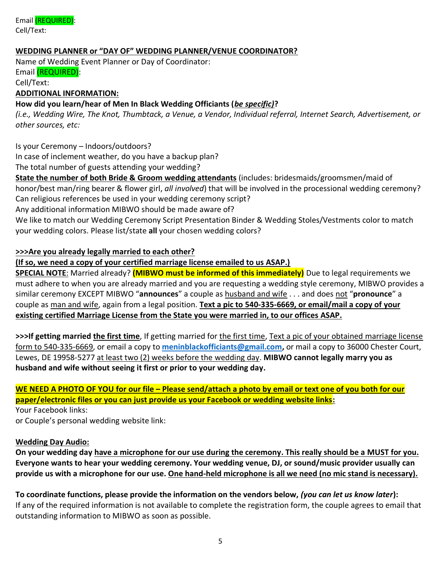Email (REQUIRED): Cell/Text:

#### **WEDDING PLANNER or "DAY OF" WEDDING PLANNER/VENUE COORDINATOR?**

Name of Wedding Event Planner or Day of Coordinator: Email (REQUIRED):

#### Cell/Text:

#### **ADDITIONAL INFORMATION:**

#### **How did you learn/hear of Men In Black Wedding Officiants (***be specific)***?**

*(i.e., Wedding Wire, The Knot, Thumbtack, a Venue, a Vendor, Individual referral, Internet Search, Advertisement, or other sources, etc:*

Is your Ceremony – Indoors/outdoors?

In case of inclement weather, do you have a backup plan?

The total number of guests attending your wedding?

**State the number of both Bride & Groom wedding attendants** (includes: bridesmaids/groomsmen/maid of honor/best man/ring bearer & flower girl, *all involved*) that will be involved in the processional wedding ceremony? Can religious references be used in your wedding ceremony script?

Any additional information MIBWO should be made aware of?

We like to match our Wedding Ceremony Script Presentation Binder & Wedding Stoles/Vestments color to match your wedding colors. Please list/state **all** your chosen wedding colors?

#### **>>>Are you already legally married to each other?**

**(If so, we need a copy of your certified marriage license emailed to us ASAP.)**

**SPECIAL NOTE**: Married already? **(MIBWO must be informed of this immediately)** Due to legal requirements we must adhere to when you are already married and you are requesting a wedding style ceremony, MIBWO provides a similar ceremony EXCEPT MIBWO "**announces**" a couple as husband and wife . . . and does not "**pronounce**" a couple as man and wife, again from a legal position. **Text a pic to 540-335-6669, or email/mail a copy of your existing certified Marriage License from the State you were married in, to our offices ASAP.**

**>>>If getting married the first time**, If getting married for the first time, Text a pic of your obtained marriage license form to 540-335-6669, or email a copy to **[meninblackofficiants@gmail.com,](mailto:meninblackofficiants@gmail.com)** or mail a copy to 36000 Chester Court, Lewes, DE 19958-5277 at least two (2) weeks before the wedding day. **MIBWO cannot legally marry you as husband and wife without seeing it first or prior to your wedding day.**

**WE NEED A PHOTO OF YOU for our file – Please send/attach a photo by email or text one of you both for our paper/electronic files or you can just provide us your Facebook or wedding website links:**

Your Facebook links: or Couple's personal wedding website link:

#### **Wedding Day Audio:**

**On your wedding day have a microphone for our use during the ceremony. This really should be a MUST for you. Everyone wants to hear your wedding ceremony. Your wedding venue, DJ, or sound/music provider usually can provide us with a microphone for our use. One hand-held microphone is all we need (no mic stand is necessary).**

**To coordinate functions, please provide the information on the vendors below,** *(you can let us know later***):**  If any of the required information is not available to complete the registration form, the couple agrees to email that outstanding information to MIBWO as soon as possible.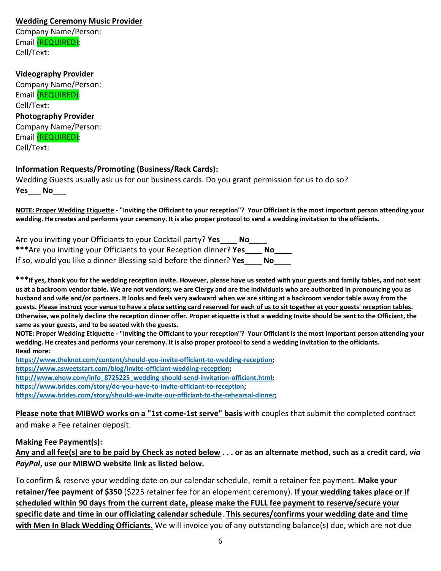#### **Wedding Ceremony Music Provider**

Company Name/Person: Email (REQUIRED): Cell/Text:

#### **Videography Provider**

Company Name/Person: Email (REQUIRED): Cell/Text: **Photography Provider** Company Name/Person: Email (REQUIRED): Cell/Text:

#### **Information Requests/Promoting (Business/Rack Cards):**

Wedding Guests usually ask us for our business cards. Do you grant permission for us to do so? **Yes\_\_\_ No\_\_\_** 

**NOTE: Proper Wedding Etiquette - "Inviting the Officiant to your reception"? Your Officiant is the most important person attending your wedding. He creates and performs your ceremony. It is also proper protocol to send a wedding invitation to the officiants.**

| Are you inviting your Officiants to your Cocktail party? Yes<br>- No |      |
|----------------------------------------------------------------------|------|
| *** Are you inviting your Officiants to your Reception dinner? Yes   | No l |
| If so, would you like a dinner Blessing said before the dinner? Yes  | No l |

**\*\*\*If yes, thank you for the wedding reception invite. However, please have us seated with your guests and family tables, and not seat us at a backroom vendor table. We are not vendors; we are Clergy and are the individuals who are authorized in pronouncing you as husband and wife and/or partners. It looks and feels very awkward when we are sitting at a backroom vendor table away from the guests. Please instruct your venue to have a place setting card reserved for each of us to sit together at your guests' reception tables. Otherwise, we politely decline the reception dinner offer. Proper etiquette is that a wedding Invite should be sent to the Officiant, the same as your guests, and to be seated with the guests.**

**NOTE: Proper Wedding Etiquette - "Inviting the Officiant to your reception"? Your Officiant is the most important person attending your wedding. He creates and performs your ceremony. It is also proper protocol to send a wedding invitation to the officiants. Read more:**

**[https://www.theknot.com/content/should-you-invite-officiant-to-wedding-reception;](https://www.theknot.com/content/should-you-invite-officiant-to-wedding-reception) [https://www.asweetstart.com/blog/invite-officiant-wedding-reception;](https://www.asweetstart.com/blog/invite-officiant-wedding-reception) [http://www.ehow.com/info\\_8725225\\_wedding-should-send-invitation-officiant.html;](http://www.ehow.com/info_8725225_wedding-should-send-invitation-officiant.html) [https://www.brides.com/story/do-you-have-to-invite-officiant-to-reception;](https://www.brides.com/story/do-you-have-to-invite-officiant-to-reception)** 

**[https://www.brides.com/story/should-we-invite-our-officiant-to-the-rehearsal-dinner;](https://www.brides.com/story/should-we-invite-our-officiant-to-the-rehearsal-dinner)** 

**Please note that MIBWO works on a "1st come-1st serve" basis** with couples that submit the completed contract and make a Fee retainer deposit.

#### **Making Fee Payment(s):**

**Any and all fee(s) are to be paid by Check as noted below . . . or as an alternate method, such as a credit card,** *via PayPal***, use our MIBWO website link as listed below.**

To confirm & reserve your wedding date on our calendar schedule, remit a retainer fee payment. **Make your retainer/fee payment of \$350** (\$225 retainer fee for an elopement ceremony). **If your wedding takes place or if scheduled within 90 days from the current date, please make the FULL fee payment to reserve/secure your specific date and time in our officiating calendar schedule**. **This secures/confirms your wedding date and time with Men In Black Wedding Officiants.** We will invoice you of any outstanding balance(s) due, which are not due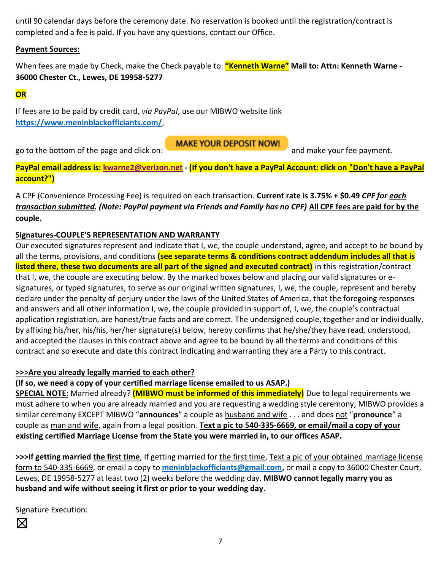until 90 calendar days before the ceremony date. No reservation is booked until the registration/contract is completed and a fee is paid. If you have any questions, contact our Office.

#### **Payment Sources:**

When fees are made by Check, make the Check payable to: **"Kenneth Warne" Mail to: Attn: Kenneth Warne - 36000 Chester Ct., Lewes, DE 19958-5277**

# **OR**

If fees are to be paid by credit card, *via PayPal*, use our MIBWO website link **<https://www.meninblackofficiants.com/>**,

go to the bottom of the page and click on: and make your fee payment.

**PayPal email address is: [kwarne2@verizon.net](mailto:kwarne2@verizon.net) - (If you don't have a PayPal Account: click on "Don't have a PayPal account?")**

**MAKE YOUR DEPOSIT NOW!** 

A CPF (Convenience Processing Fee) is required on each transaction. **Current rate is 3.75% + \$0.49** *CPF for each transaction submitted. (Note: PayPal payment via Friends and Family has no CPF)* **All CPF fees are paid for by the couple.**

## **Signatures-COUPLE'S REPRESENTATION AND WARRANTY**

Our executed signatures represent and indicate that I, we, the couple understand, agree, and accept to be bound by all the terms, provisions, and conditions **(see separate terms & conditions contract addendum includes all that is listed there, these two documents are all part of the signed and executed contract)** in this registration/contract that I, we, the couple are executing below. By the marked boxes below and placing our valid signatures or esignatures, or typed signatures, to serve as our original written signatures, I, we, the couple, represent and hereby declare under the penalty of perjury under the laws of the United States of America, that the foregoing responses and answers and all other information I, we, the couple provided in support of, I, we, the couple's contractual application registration, are honest/true facts and are correct. The undersigned couple, together and or individually, by affixing his/her, his/his, her/her signature(s) below, hereby confirms that he/she/they have read, understood, and accepted the clauses in this contract above and agree to be bound by all the terms and conditions of this contract and so execute and date this contract indicating and warranting they are a Party to this contract.

#### **>>>Are you already legally married to each other?**

**(If so, we need a copy of your certified marriage license emailed to us ASAP.)**

**SPECIAL NOTE**: Married already? **(MIBWO must be informed of this immediately)** Due to legal requirements we must adhere to when you are already married and you are requesting a wedding style ceremony, MIBWO provides a similar ceremony EXCEPT MIBWO "**announces**" a couple as husband and wife . . . and does not "**pronounce**" a couple as man and wife, again from a legal position. **Text a pic to 540-335-6669, or email/mail a copy of your existing certified Marriage License from the State you were married in, to our offices ASAP.**

**>>>If getting married the first time**, If getting married for the first time, Text a pic of your obtained marriage license form to 540-335-6669, or email a copy to **[meninblackofficiants@gmail.com,](mailto:meninblackofficiants@gmail.com)** or mail a copy to 36000 Chester Court, Lewes, DE 19958-5277 at least two (2) weeks before the wedding day. **MIBWO cannot legally marry you as husband and wife without seeing it first or prior to your wedding day.**

Signature Execution: